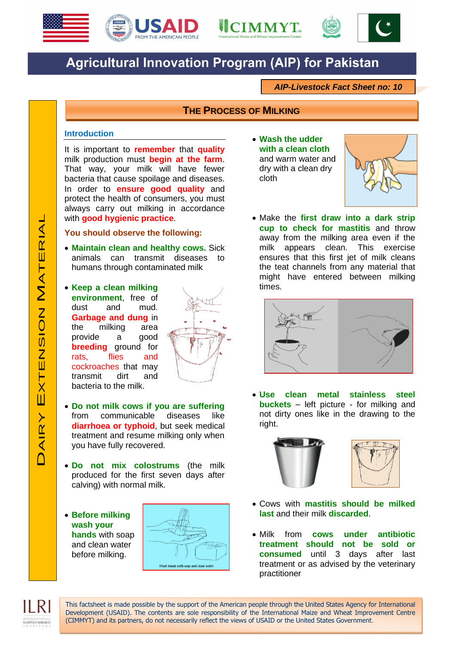





## **Agricultural Innovation Program (AIP) for Pakistan**

*AIP-Livestock Fact Sheet no: 10*

## **THE PROCESS OF MILKING**

## **Introduction**

It is important to **remember** that **quality** milk production must **begin at the farm**. That way, your milk will have fewer bacteria that cause spoilage and diseases. In order to **ensure good quality** and protect the health of consumers, you must always carry out milking in accordance with **good hygienic practice**.

## **You should observe the following:**

- **Maintain clean and healthy cows.** Sick animals can transmit diseases to humans through contaminated milk
- **Keep a clean milking environment**, free of dust and mud. **Garbage and dung** in the milking area provide a good **breeding** ground for rats, flies and cockroaches that may transmit dirt and bacteria to the milk.



- **Do not milk cows if you are suffering** from communicable diseases like **diarrhoea or typhoid**, but seek medical treatment and resume milking only when you have fully recovered.
- **Do not mix colostrums** (the milk produced for the first seven days after calving) with normal milk.
- **Before milking wash your hands** with soap and clean water before milking.



This factsheet is made possible by the support of the American people through the United States Agency for International Development (USAID). The contents are sole responsibility of the International Maize and Wheat Improvement Centre

(CIMMYT) and its partners, do not necessarily reflect the views of USAID or the United States Government.

 **Wash the udder with a clean cloth** and warm water and dry with a clean dry cloth



 Make the **first draw into a dark strip cup to check for mastitis** and throw away from the milking area even if the milk appears clean. This exercise ensures that this first jet of milk cleans the teat channels from any material that might have entered between milking times.



 **Use clean metal stainless steel buckets** – left picture - for milking and not dirty ones like in the drawing to the right.





- Cows with **mastitis should be milked last** and their milk **discarded**.
- Milk from **cows under antibiotic treatment should not be sold or consumed** until 3 days after last treatment or as advised by the veterinary practitioner

ILRI

LIVESTOCK RESEARCH